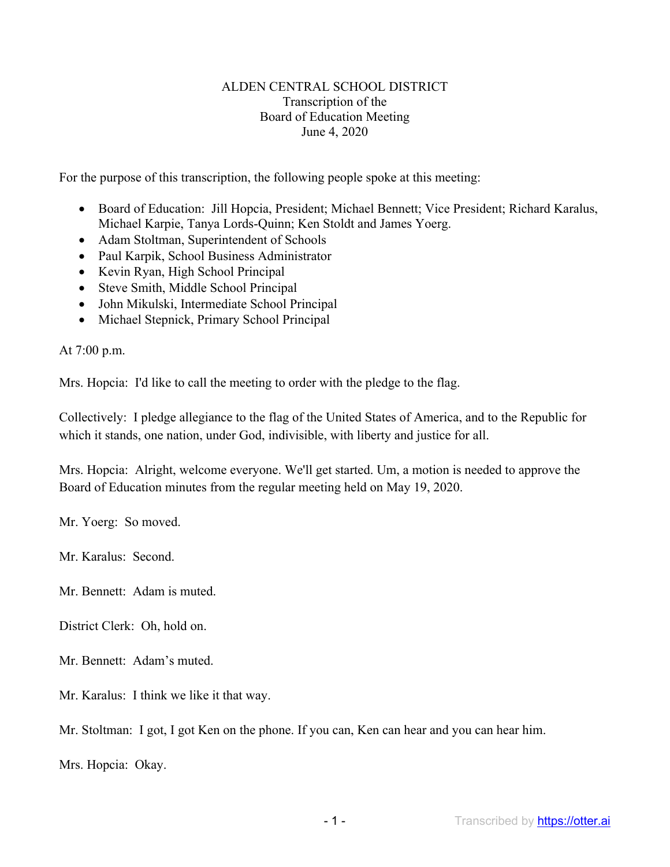## ALDEN CENTRAL SCHOOL DISTRICT Transcription of the Board of Education Meeting June 4, 2020

For the purpose of this transcription, the following people spoke at this meeting:

- Board of Education: Jill Hopcia, President; Michael Bennett; Vice President; Richard Karalus, Michael Karpie, Tanya Lords-Quinn; Ken Stoldt and James Yoerg.
- Adam Stoltman, Superintendent of Schools
- Paul Karpik, School Business Administrator
- Kevin Ryan, High School Principal
- Steve Smith, Middle School Principal
- John Mikulski, Intermediate School Principal
- Michael Stepnick, Primary School Principal

At 7:00 p.m.

Mrs. Hopcia: I'd like to call the meeting to order with the pledge to the flag.

Collectively: I pledge allegiance to the flag of the United States of America, and to the Republic for which it stands, one nation, under God, indivisible, with liberty and justice for all.

Mrs. Hopcia: Alright, welcome everyone. We'll get started. Um, a motion is needed to approve the Board of Education minutes from the regular meeting held on May 19, 2020.

Mr. Yoerg: So moved.

Mr. Karalus: Second.

Mr. Bennett: Adam is muted.

District Clerk: Oh, hold on.

Mr. Bennett: Adam's muted.

Mr. Karalus: I think we like it that way.

Mr. Stoltman: I got, I got Ken on the phone. If you can, Ken can hear and you can hear him.

Mrs. Hopcia: Okay.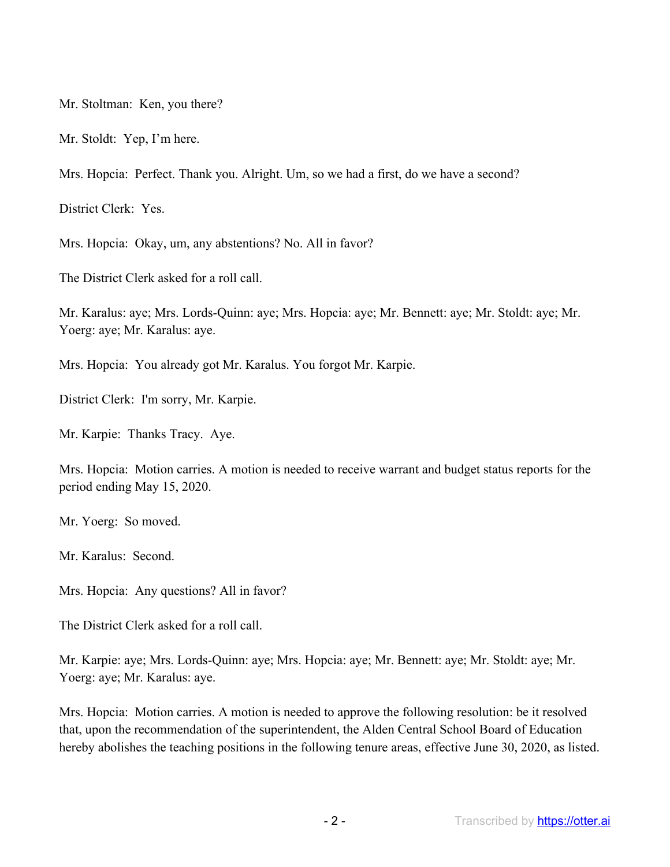Mr. Stoltman: Ken, you there?

Mr. Stoldt: Yep, I'm here.

Mrs. Hopcia: Perfect. Thank you. Alright. Um, so we had a first, do we have a second?

District Clerk: Yes.

Mrs. Hopcia: Okay, um, any abstentions? No. All in favor?

The District Clerk asked for a roll call.

Mr. Karalus: aye; Mrs. Lords-Quinn: aye; Mrs. Hopcia: aye; Mr. Bennett: aye; Mr. Stoldt: aye; Mr. Yoerg: aye; Mr. Karalus: aye.

Mrs. Hopcia: You already got Mr. Karalus. You forgot Mr. Karpie.

District Clerk: I'm sorry, Mr. Karpie.

Mr. Karpie: Thanks Tracy. Aye.

Mrs. Hopcia: Motion carries. A motion is needed to receive warrant and budget status reports for the period ending May 15, 2020.

Mr. Yoerg: So moved.

Mr. Karalus: Second.

Mrs. Hopcia: Any questions? All in favor?

The District Clerk asked for a roll call.

Mr. Karpie: aye; Mrs. Lords-Quinn: aye; Mrs. Hopcia: aye; Mr. Bennett: aye; Mr. Stoldt: aye; Mr. Yoerg: aye; Mr. Karalus: aye.

Mrs. Hopcia: Motion carries. A motion is needed to approve the following resolution: be it resolved that, upon the recommendation of the superintendent, the Alden Central School Board of Education hereby abolishes the teaching positions in the following tenure areas, effective June 30, 2020, as listed.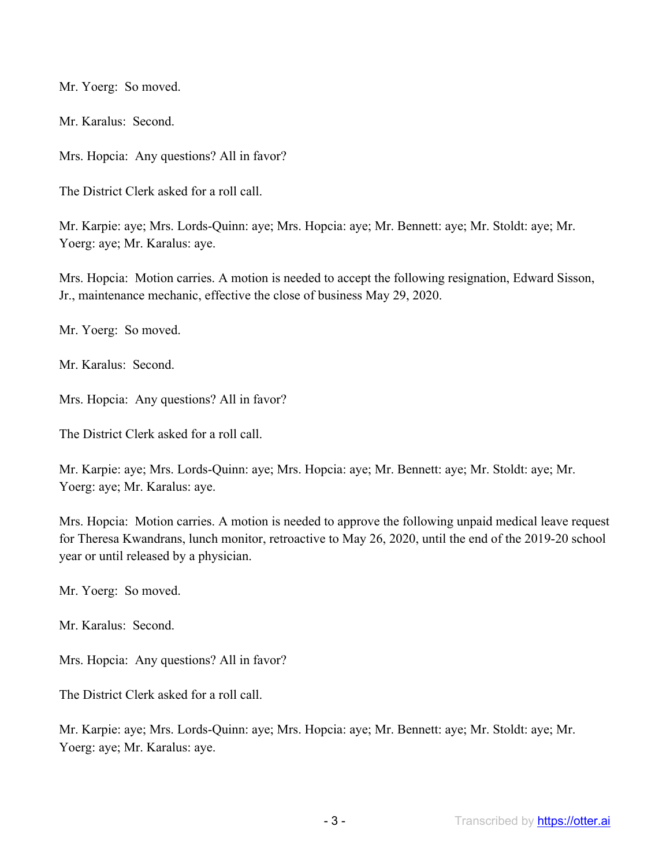Mr. Yoerg: So moved.

Mr. Karalus: Second.

Mrs. Hopcia: Any questions? All in favor?

The District Clerk asked for a roll call.

Mr. Karpie: aye; Mrs. Lords-Quinn: aye; Mrs. Hopcia: aye; Mr. Bennett: aye; Mr. Stoldt: aye; Mr. Yoerg: aye; Mr. Karalus: aye.

Mrs. Hopcia: Motion carries. A motion is needed to accept the following resignation, Edward Sisson, Jr., maintenance mechanic, effective the close of business May 29, 2020.

Mr. Yoerg: So moved.

Mr. Karalus: Second.

Mrs. Hopcia: Any questions? All in favor?

The District Clerk asked for a roll call.

Mr. Karpie: aye; Mrs. Lords-Quinn: aye; Mrs. Hopcia: aye; Mr. Bennett: aye; Mr. Stoldt: aye; Mr. Yoerg: aye; Mr. Karalus: aye.

Mrs. Hopcia: Motion carries. A motion is needed to approve the following unpaid medical leave request for Theresa Kwandrans, lunch monitor, retroactive to May 26, 2020, until the end of the 2019-20 school year or until released by a physician.

Mr. Yoerg: So moved.

Mr. Karalus: Second.

Mrs. Hopcia: Any questions? All in favor?

The District Clerk asked for a roll call.

Mr. Karpie: aye; Mrs. Lords-Quinn: aye; Mrs. Hopcia: aye; Mr. Bennett: aye; Mr. Stoldt: aye; Mr. Yoerg: aye; Mr. Karalus: aye.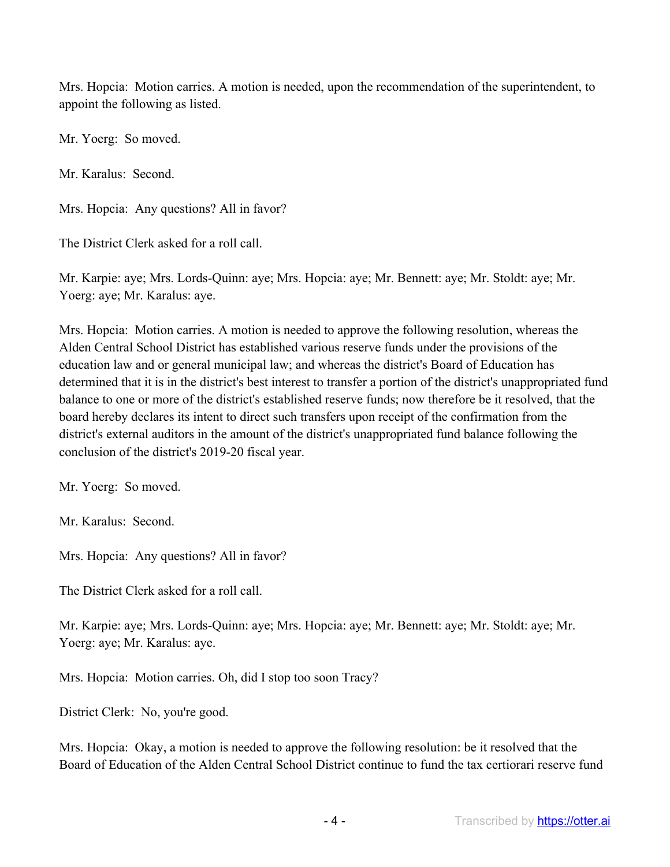Mrs. Hopcia: Motion carries. A motion is needed, upon the recommendation of the superintendent, to appoint the following as listed.

Mr. Yoerg: So moved.

Mr. Karalus: Second.

Mrs. Hopcia: Any questions? All in favor?

The District Clerk asked for a roll call.

Mr. Karpie: aye; Mrs. Lords-Quinn: aye; Mrs. Hopcia: aye; Mr. Bennett: aye; Mr. Stoldt: aye; Mr. Yoerg: aye; Mr. Karalus: aye.

Mrs. Hopcia: Motion carries. A motion is needed to approve the following resolution, whereas the Alden Central School District has established various reserve funds under the provisions of the education law and or general municipal law; and whereas the district's Board of Education has determined that it is in the district's best interest to transfer a portion of the district's unappropriated fund balance to one or more of the district's established reserve funds; now therefore be it resolved, that the board hereby declares its intent to direct such transfers upon receipt of the confirmation from the district's external auditors in the amount of the district's unappropriated fund balance following the conclusion of the district's 2019-20 fiscal year.

Mr. Yoerg: So moved.

Mr. Karalus: Second.

Mrs. Hopcia: Any questions? All in favor?

The District Clerk asked for a roll call.

Mr. Karpie: aye; Mrs. Lords-Quinn: aye; Mrs. Hopcia: aye; Mr. Bennett: aye; Mr. Stoldt: aye; Mr. Yoerg: aye; Mr. Karalus: aye.

Mrs. Hopcia: Motion carries. Oh, did I stop too soon Tracy?

District Clerk: No, you're good.

Mrs. Hopcia: Okay, a motion is needed to approve the following resolution: be it resolved that the Board of Education of the Alden Central School District continue to fund the tax certiorari reserve fund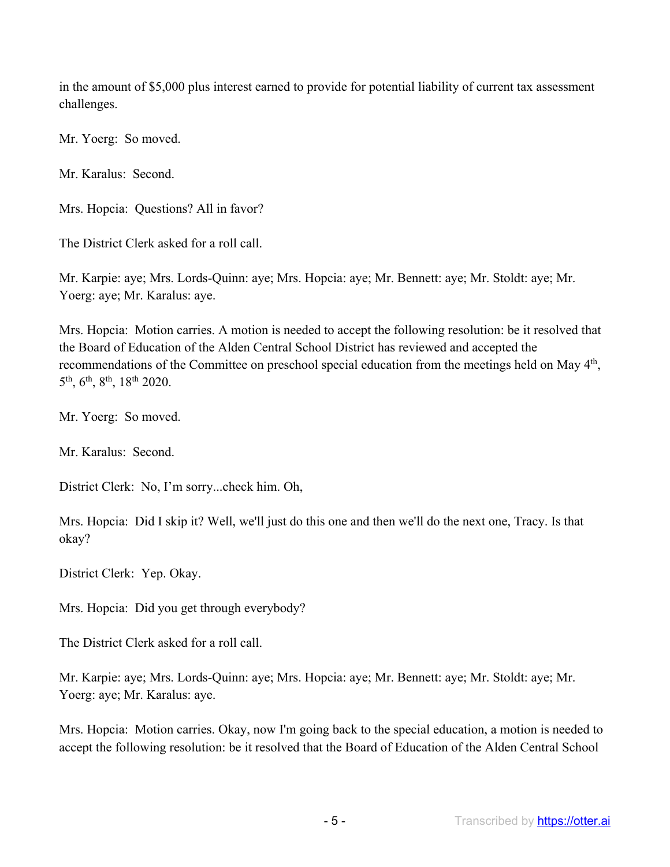in the amount of \$5,000 plus interest earned to provide for potential liability of current tax assessment challenges.

Mr. Yoerg: So moved.

Mr. Karalus: Second.

Mrs. Hopcia: Questions? All in favor?

The District Clerk asked for a roll call.

Mr. Karpie: aye; Mrs. Lords-Quinn: aye; Mrs. Hopcia: aye; Mr. Bennett: aye; Mr. Stoldt: aye; Mr. Yoerg: aye; Mr. Karalus: aye.

Mrs. Hopcia: Motion carries. A motion is needed to accept the following resolution: be it resolved that the Board of Education of the Alden Central School District has reviewed and accepted the recommendations of the Committee on preschool special education from the meetings held on May 4<sup>th</sup>, 5th, 6th, 8th, 18th 2020.

Mr. Yoerg: So moved.

Mr. Karalus: Second.

District Clerk: No, I'm sorry...check him. Oh,

Mrs. Hopcia: Did I skip it? Well, we'll just do this one and then we'll do the next one, Tracy. Is that okay?

District Clerk: Yep. Okay.

Mrs. Hopcia: Did you get through everybody?

The District Clerk asked for a roll call.

Mr. Karpie: aye; Mrs. Lords-Quinn: aye; Mrs. Hopcia: aye; Mr. Bennett: aye; Mr. Stoldt: aye; Mr. Yoerg: aye; Mr. Karalus: aye.

Mrs. Hopcia: Motion carries. Okay, now I'm going back to the special education, a motion is needed to accept the following resolution: be it resolved that the Board of Education of the Alden Central School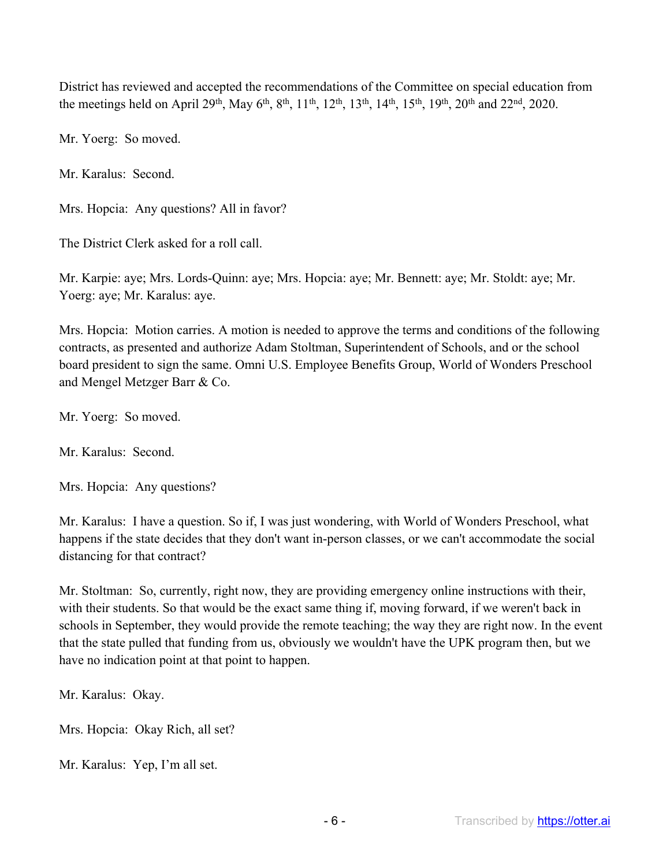District has reviewed and accepted the recommendations of the Committee on special education from the meetings held on April 29<sup>th</sup>, May 6<sup>th</sup>, 8<sup>th</sup>, 11<sup>th</sup>, 12<sup>th</sup>, 13<sup>th</sup>, 14<sup>th</sup>, 15<sup>th</sup>, 19<sup>th</sup>, 20<sup>th</sup> and 22<sup>nd</sup>, 2020.

Mr. Yoerg: So moved.

Mr. Karalus: Second.

Mrs. Hopcia: Any questions? All in favor?

The District Clerk asked for a roll call.

Mr. Karpie: aye; Mrs. Lords-Quinn: aye; Mrs. Hopcia: aye; Mr. Bennett: aye; Mr. Stoldt: aye; Mr. Yoerg: aye; Mr. Karalus: aye.

Mrs. Hopcia: Motion carries. A motion is needed to approve the terms and conditions of the following contracts, as presented and authorize Adam Stoltman, Superintendent of Schools, and or the school board president to sign the same. Omni U.S. Employee Benefits Group, World of Wonders Preschool and Mengel Metzger Barr & Co.

Mr. Yoerg: So moved.

Mr. Karalus: Second.

Mrs. Hopcia: Any questions?

Mr. Karalus: I have a question. So if, I was just wondering, with World of Wonders Preschool, what happens if the state decides that they don't want in-person classes, or we can't accommodate the social distancing for that contract?

Mr. Stoltman: So, currently, right now, they are providing emergency online instructions with their, with their students. So that would be the exact same thing if, moving forward, if we weren't back in schools in September, they would provide the remote teaching; the way they are right now. In the event that the state pulled that funding from us, obviously we wouldn't have the UPK program then, but we have no indication point at that point to happen.

Mr. Karalus: Okay.

Mrs. Hopcia: Okay Rich, all set?

Mr. Karalus: Yep, I'm all set.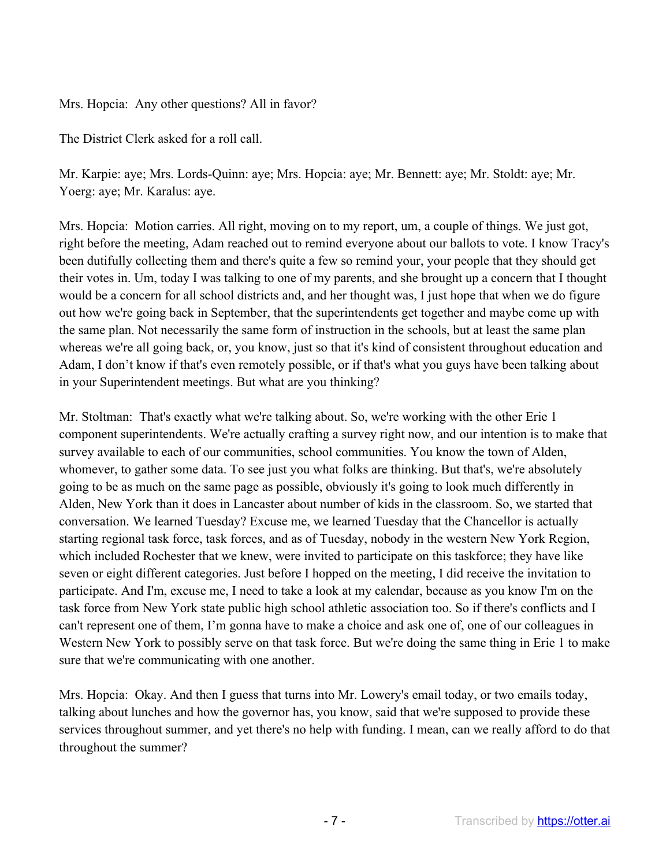Mrs. Hopcia: Any other questions? All in favor?

The District Clerk asked for a roll call.

Mr. Karpie: aye; Mrs. Lords-Quinn: aye; Mrs. Hopcia: aye; Mr. Bennett: aye; Mr. Stoldt: aye; Mr. Yoerg: aye; Mr. Karalus: aye.

Mrs. Hopcia: Motion carries. All right, moving on to my report, um, a couple of things. We just got, right before the meeting, Adam reached out to remind everyone about our ballots to vote. I know Tracy's been dutifully collecting them and there's quite a few so remind your, your people that they should get their votes in. Um, today I was talking to one of my parents, and she brought up a concern that I thought would be a concern for all school districts and, and her thought was, I just hope that when we do figure out how we're going back in September, that the superintendents get together and maybe come up with the same plan. Not necessarily the same form of instruction in the schools, but at least the same plan whereas we're all going back, or, you know, just so that it's kind of consistent throughout education and Adam, I don't know if that's even remotely possible, or if that's what you guys have been talking about in your Superintendent meetings. But what are you thinking?

Mr. Stoltman: That's exactly what we're talking about. So, we're working with the other Erie 1 component superintendents. We're actually crafting a survey right now, and our intention is to make that survey available to each of our communities, school communities. You know the town of Alden, whomever, to gather some data. To see just you what folks are thinking. But that's, we're absolutely going to be as much on the same page as possible, obviously it's going to look much differently in Alden, New York than it does in Lancaster about number of kids in the classroom. So, we started that conversation. We learned Tuesday? Excuse me, we learned Tuesday that the Chancellor is actually starting regional task force, task forces, and as of Tuesday, nobody in the western New York Region, which included Rochester that we knew, were invited to participate on this taskforce; they have like seven or eight different categories. Just before I hopped on the meeting, I did receive the invitation to participate. And I'm, excuse me, I need to take a look at my calendar, because as you know I'm on the task force from New York state public high school athletic association too. So if there's conflicts and I can't represent one of them, I'm gonna have to make a choice and ask one of, one of our colleagues in Western New York to possibly serve on that task force. But we're doing the same thing in Erie 1 to make sure that we're communicating with one another.

Mrs. Hopcia: Okay. And then I guess that turns into Mr. Lowery's email today, or two emails today, talking about lunches and how the governor has, you know, said that we're supposed to provide these services throughout summer, and yet there's no help with funding. I mean, can we really afford to do that throughout the summer?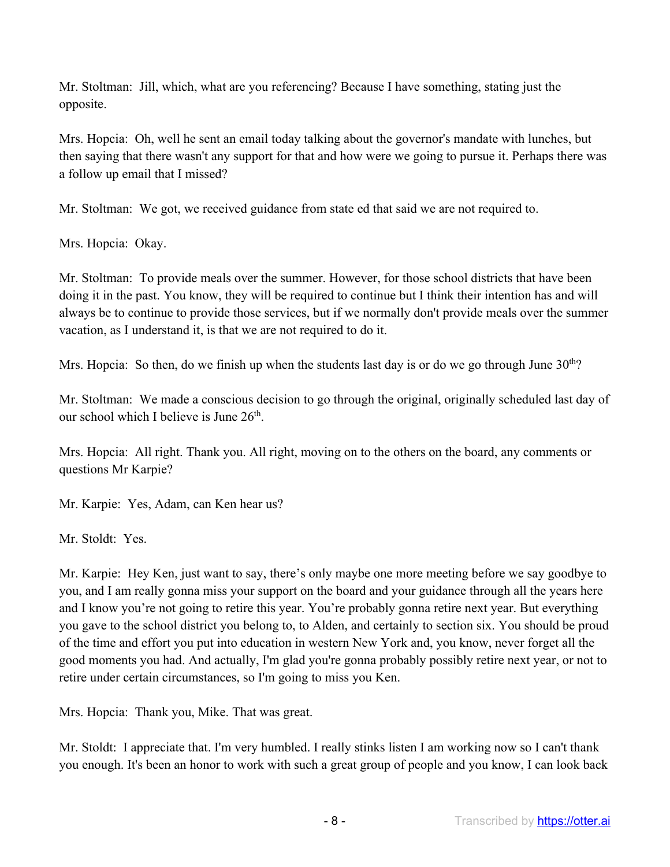Mr. Stoltman: Jill, which, what are you referencing? Because I have something, stating just the opposite.

Mrs. Hopcia: Oh, well he sent an email today talking about the governor's mandate with lunches, but then saying that there wasn't any support for that and how were we going to pursue it. Perhaps there was a follow up email that I missed?

Mr. Stoltman: We got, we received guidance from state ed that said we are not required to.

Mrs. Hopcia: Okay.

Mr. Stoltman: To provide meals over the summer. However, for those school districts that have been doing it in the past. You know, they will be required to continue but I think their intention has and will always be to continue to provide those services, but if we normally don't provide meals over the summer vacation, as I understand it, is that we are not required to do it.

Mrs. Hopcia: So then, do we finish up when the students last day is or do we go through June  $30<sup>th</sup>$ ?

Mr. Stoltman: We made a conscious decision to go through the original, originally scheduled last day of our school which I believe is June 26<sup>th</sup>.

Mrs. Hopcia: All right. Thank you. All right, moving on to the others on the board, any comments or questions Mr Karpie?

Mr. Karpie: Yes, Adam, can Ken hear us?

Mr. Stoldt: Yes.

Mr. Karpie: Hey Ken, just want to say, there's only maybe one more meeting before we say goodbye to you, and I am really gonna miss your support on the board and your guidance through all the years here and I know you're not going to retire this year. You're probably gonna retire next year. But everything you gave to the school district you belong to, to Alden, and certainly to section six. You should be proud of the time and effort you put into education in western New York and, you know, never forget all the good moments you had. And actually, I'm glad you're gonna probably possibly retire next year, or not to retire under certain circumstances, so I'm going to miss you Ken.

Mrs. Hopcia: Thank you, Mike. That was great.

Mr. Stoldt: I appreciate that. I'm very humbled. I really stinks listen I am working now so I can't thank you enough. It's been an honor to work with such a great group of people and you know, I can look back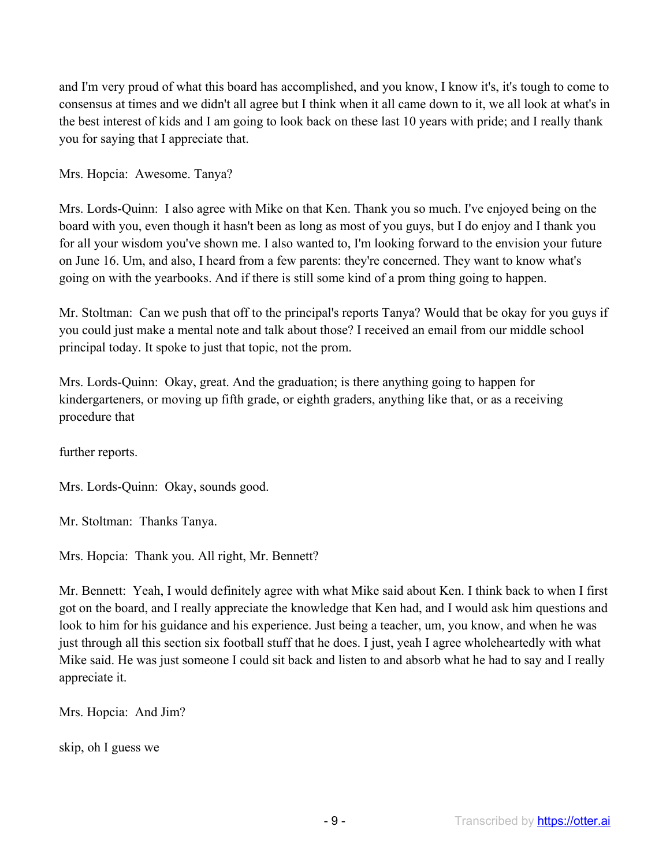and I'm very proud of what this board has accomplished, and you know, I know it's, it's tough to come to consensus at times and we didn't all agree but I think when it all came down to it, we all look at what's in the best interest of kids and I am going to look back on these last 10 years with pride; and I really thank you for saying that I appreciate that.

Mrs. Hopcia: Awesome. Tanya?

Mrs. Lords-Quinn: I also agree with Mike on that Ken. Thank you so much. I've enjoyed being on the board with you, even though it hasn't been as long as most of you guys, but I do enjoy and I thank you for all your wisdom you've shown me. I also wanted to, I'm looking forward to the envision your future on June 16. Um, and also, I heard from a few parents: they're concerned. They want to know what's going on with the yearbooks. And if there is still some kind of a prom thing going to happen.

Mr. Stoltman: Can we push that off to the principal's reports Tanya? Would that be okay for you guys if you could just make a mental note and talk about those? I received an email from our middle school principal today. It spoke to just that topic, not the prom.

Mrs. Lords-Quinn: Okay, great. And the graduation; is there anything going to happen for kindergarteners, or moving up fifth grade, or eighth graders, anything like that, or as a receiving procedure that

further reports.

Mrs. Lords-Quinn: Okay, sounds good.

Mr. Stoltman: Thanks Tanya.

Mrs. Hopcia: Thank you. All right, Mr. Bennett?

Mr. Bennett: Yeah, I would definitely agree with what Mike said about Ken. I think back to when I first got on the board, and I really appreciate the knowledge that Ken had, and I would ask him questions and look to him for his guidance and his experience. Just being a teacher, um, you know, and when he was just through all this section six football stuff that he does. I just, yeah I agree wholeheartedly with what Mike said. He was just someone I could sit back and listen to and absorb what he had to say and I really appreciate it.

Mrs. Hopcia: And Jim?

skip, oh I guess we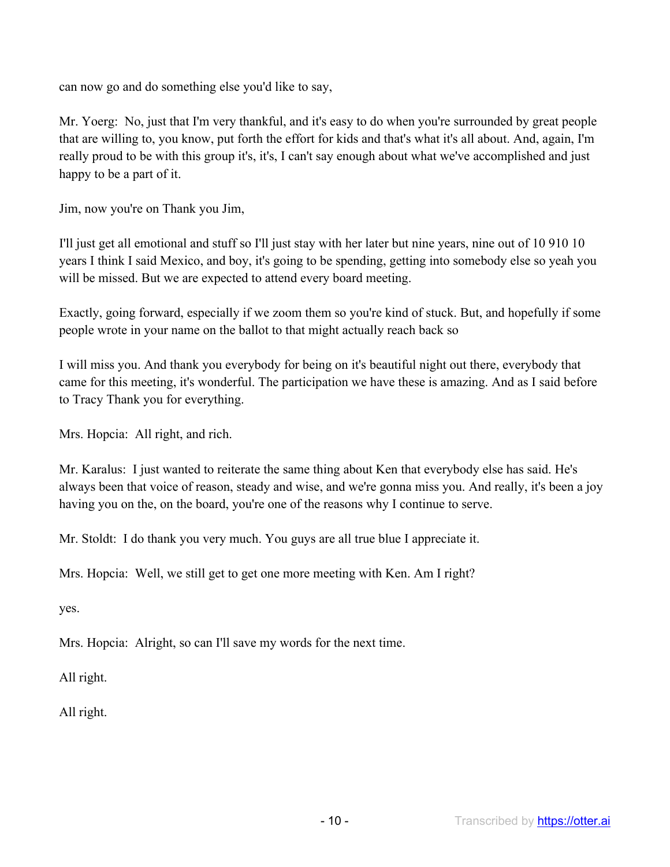can now go and do something else you'd like to say,

Mr. Yoerg: No, just that I'm very thankful, and it's easy to do when you're surrounded by great people that are willing to, you know, put forth the effort for kids and that's what it's all about. And, again, I'm really proud to be with this group it's, it's, I can't say enough about what we've accomplished and just happy to be a part of it.

Jim, now you're on Thank you Jim,

I'll just get all emotional and stuff so I'll just stay with her later but nine years, nine out of 10 910 10 years I think I said Mexico, and boy, it's going to be spending, getting into somebody else so yeah you will be missed. But we are expected to attend every board meeting.

Exactly, going forward, especially if we zoom them so you're kind of stuck. But, and hopefully if some people wrote in your name on the ballot to that might actually reach back so

I will miss you. And thank you everybody for being on it's beautiful night out there, everybody that came for this meeting, it's wonderful. The participation we have these is amazing. And as I said before to Tracy Thank you for everything.

Mrs. Hopcia: All right, and rich.

Mr. Karalus: I just wanted to reiterate the same thing about Ken that everybody else has said. He's always been that voice of reason, steady and wise, and we're gonna miss you. And really, it's been a joy having you on the, on the board, you're one of the reasons why I continue to serve.

Mr. Stoldt: I do thank you very much. You guys are all true blue I appreciate it.

Mrs. Hopcia: Well, we still get to get one more meeting with Ken. Am I right?

yes.

Mrs. Hopcia: Alright, so can I'll save my words for the next time.

All right.

All right.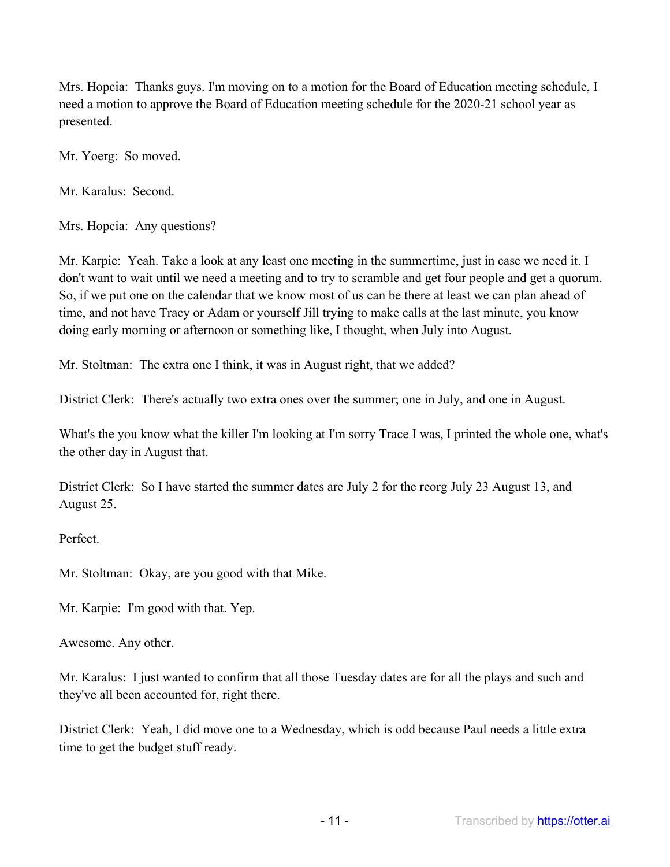Mrs. Hopcia: Thanks guys. I'm moving on to a motion for the Board of Education meeting schedule, I need a motion to approve the Board of Education meeting schedule for the 2020-21 school year as presented.

Mr. Yoerg: So moved.

Mr. Karalus: Second.

Mrs. Hopcia: Any questions?

Mr. Karpie: Yeah. Take a look at any least one meeting in the summertime, just in case we need it. I don't want to wait until we need a meeting and to try to scramble and get four people and get a quorum. So, if we put one on the calendar that we know most of us can be there at least we can plan ahead of time, and not have Tracy or Adam or yourself Jill trying to make calls at the last minute, you know doing early morning or afternoon or something like, I thought, when July into August.

Mr. Stoltman: The extra one I think, it was in August right, that we added?

District Clerk: There's actually two extra ones over the summer; one in July, and one in August.

What's the you know what the killer I'm looking at I'm sorry Trace I was, I printed the whole one, what's the other day in August that.

District Clerk: So I have started the summer dates are July 2 for the reorg July 23 August 13, and August 25.

Perfect.

Mr. Stoltman: Okay, are you good with that Mike.

Mr. Karpie: I'm good with that. Yep.

Awesome. Any other.

Mr. Karalus: I just wanted to confirm that all those Tuesday dates are for all the plays and such and they've all been accounted for, right there.

District Clerk: Yeah, I did move one to a Wednesday, which is odd because Paul needs a little extra time to get the budget stuff ready.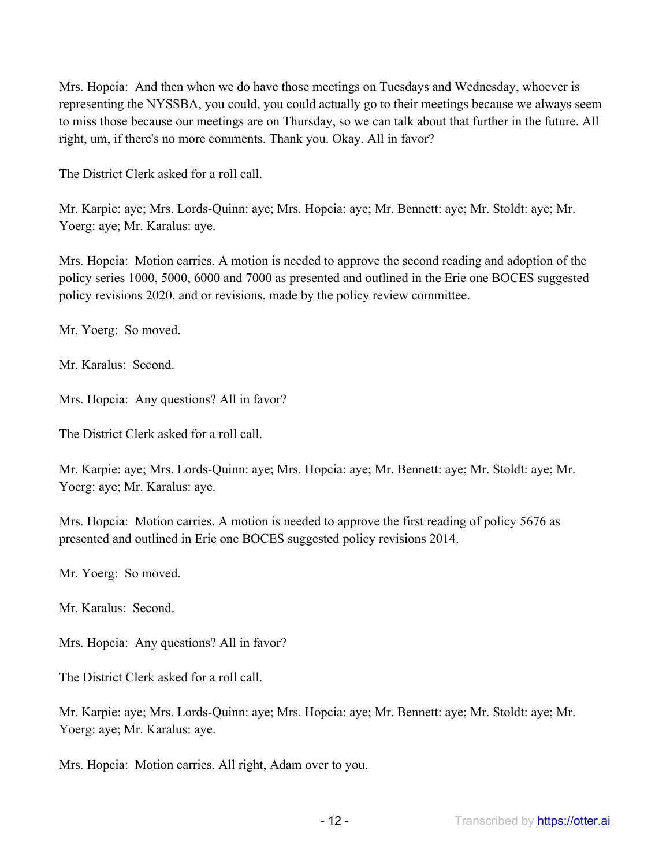Mrs. Hopcia: And then when we do have those meetings on Tuesdays and Wednesday, whoever is representing the NYSSBA, you could, you could actually go to their meetings because we always seem to miss those because our meetings are on Thursday, so we can talk about that further in the future. All right, um, if there's no more comments. Thank you. Okay. All in favor?

The District Clerk asked for a roll call.

Mr. Karpie: aye; Mrs. Lords-Quinn: aye; Mrs. Hopcia: aye; Mr. Bennett: aye; Mr. Stoldt: aye; Mr. Yoerg: aye; Mr. Karalus: aye.

Mrs. Hopcia: Motion carries. A motion is needed to approve the second reading and adoption of the policy series 1000, 5000, 6000 and 7000 as presented and outlined in the Erie one BOCES suggested policy revisions 2020, and or revisions, made by the policy review committee.

Mr. Yoerg: So moved.

Mr. Karalus: Second.

Mrs. Hopcia: Any questions? All in favor?

The District Clerk asked for a roll call.

Mr. Karpie: aye; Mrs. Lords-Quinn: aye; Mrs. Hopcia: aye; Mr. Bennett: aye; Mr. Stoldt: aye; Mr. Yoerg: aye; Mr. Karalus: aye.

Mrs. Hopcia: Motion carries. A motion is needed to approve the first reading of policy 5676 as presented and outlined in Erie one BOCES suggested policy revisions 2014.

Mr. Yoerg: So moved.

Mr. Karalus: Second.

Mrs. Hopcia: Any questions? All in favor?

The District Clerk asked for a roll call.

Mr. Karpie: aye; Mrs. Lords-Quinn: aye; Mrs. Hopcia: aye; Mr. Bennett: aye; Mr. Stoldt: aye; Mr. Yoerg: aye; Mr. Karalus: aye.

Mrs. Hopcia: Motion carries. All right, Adam over to you.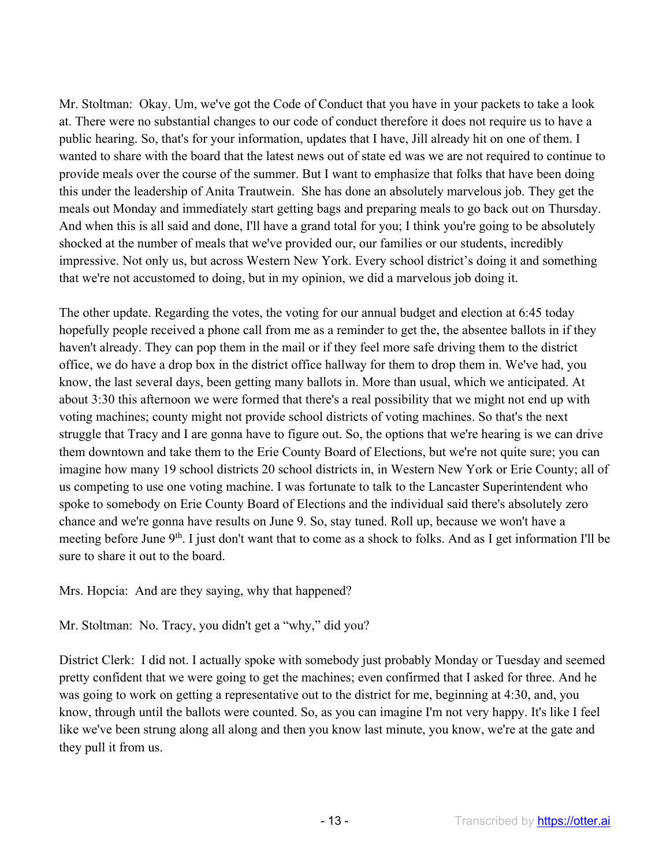Mr. Stoltman: Okay. Um, we've got the Code of Conduct that you have in your packets to take a look at. There were no substantial changes to our code of conduct therefore it does not require us to have a public hearing. So, that's for your information, updates that I have, Jill already hit on one of them. I wanted to share with the board that the latest news out of state ed was we are not required to continue to provide meals over the course of the summer. But I want to emphasize that folks that have been doing this under the leadership of Anita Trautwein. She has done an absolutely marvelous job. They get the meals out Monday and immediately start getting bags and preparing meals to go back out on Thursday. And when this is all said and done, I'll have a grand total for you; I think you're going to be absolutely shocked at the number of meals that we've provided our, our families or our students, incredibly impressive. Not only us, but across Western New York. Every school district's doing it and something that we're not accustomed to doing, but in my opinion, we did a marvelous job doing it.

The other update. Regarding the votes, the voting for our annual budget and election at 6:45 today hopefully people received a phone call from me as a reminder to get the, the absentee ballots in if they haven't already. They can pop them in the mail or if they feel more safe driving them to the district office, we do have a drop box in the district office hallway for them to drop them in. We've had, you know, the last several days, been getting many ballots in. More than usual, which we anticipated. At about 3:30 this afternoon we were formed that there's a real possibility that we might not end up with voting machines; county might not provide school districts of voting machines. So that's the next struggle that Tracy and I are gonna have to figure out. So, the options that we're hearing is we can drive them downtown and take them to the Erie County Board of Elections, but we're not quite sure; you can imagine how many 19 school districts 20 school districts in, in Western New York or Erie County; all of us competing to use one voting machine. I was fortunate to talk to the Lancaster Superintendent who spoke to somebody on Erie County Board of Elections and the individual said there's absolutely zero chance and we're gonna have results on June 9. So, stay tuned. Roll up, because we won't have a meeting before June 9<sup>th</sup>. I just don't want that to come as a shock to folks. And as I get information I'll be sure to share it out to the board.

Mrs. Hopcia: And are they saying, why that happened?

Mr. Stoltman: No. Tracy, you didn't get a "why," did you?

District Clerk: I did not. I actually spoke with somebody just probably Monday or Tuesday and seemed pretty confident that we were going to get the machines; even confirmed that I asked for three. And he was going to work on getting a representative out to the district for me, beginning at 4:30, and, you know, through until the ballots were counted. So, as you can imagine I'm not very happy. It's like I feel like we've been strung along all along and then you know last minute, you know, we're at the gate and they pull it from us.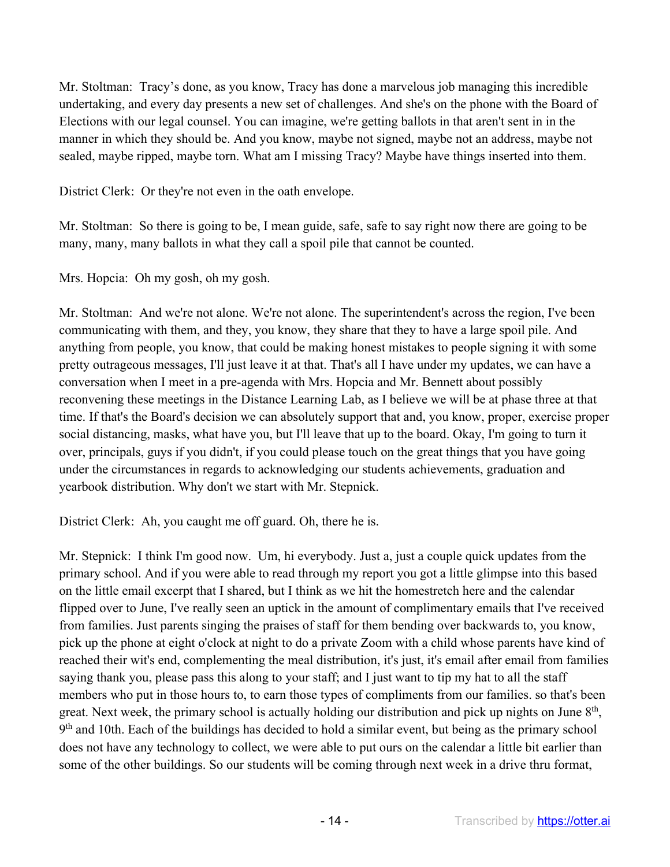Mr. Stoltman: Tracy's done, as you know, Tracy has done a marvelous job managing this incredible undertaking, and every day presents a new set of challenges. And she's on the phone with the Board of Elections with our legal counsel. You can imagine, we're getting ballots in that aren't sent in in the manner in which they should be. And you know, maybe not signed, maybe not an address, maybe not sealed, maybe ripped, maybe torn. What am I missing Tracy? Maybe have things inserted into them.

District Clerk: Or they're not even in the oath envelope.

Mr. Stoltman: So there is going to be, I mean guide, safe, safe to say right now there are going to be many, many, many ballots in what they call a spoil pile that cannot be counted.

Mrs. Hopcia: Oh my gosh, oh my gosh.

Mr. Stoltman: And we're not alone. We're not alone. The superintendent's across the region, I've been communicating with them, and they, you know, they share that they to have a large spoil pile. And anything from people, you know, that could be making honest mistakes to people signing it with some pretty outrageous messages, I'll just leave it at that. That's all I have under my updates, we can have a conversation when I meet in a pre-agenda with Mrs. Hopcia and Mr. Bennett about possibly reconvening these meetings in the Distance Learning Lab, as I believe we will be at phase three at that time. If that's the Board's decision we can absolutely support that and, you know, proper, exercise proper social distancing, masks, what have you, but I'll leave that up to the board. Okay, I'm going to turn it over, principals, guys if you didn't, if you could please touch on the great things that you have going under the circumstances in regards to acknowledging our students achievements, graduation and yearbook distribution. Why don't we start with Mr. Stepnick.

District Clerk: Ah, you caught me off guard. Oh, there he is.

Mr. Stepnick: I think I'm good now. Um, hi everybody. Just a, just a couple quick updates from the primary school. And if you were able to read through my report you got a little glimpse into this based on the little email excerpt that I shared, but I think as we hit the homestretch here and the calendar flipped over to June, I've really seen an uptick in the amount of complimentary emails that I've received from families. Just parents singing the praises of staff for them bending over backwards to, you know, pick up the phone at eight o'clock at night to do a private Zoom with a child whose parents have kind of reached their wit's end, complementing the meal distribution, it's just, it's email after email from families saying thank you, please pass this along to your staff; and I just want to tip my hat to all the staff members who put in those hours to, to earn those types of compliments from our families. so that's been great. Next week, the primary school is actually holding our distribution and pick up nights on June  $8<sup>th</sup>$ , 9<sup>th</sup> and 10th. Each of the buildings has decided to hold a similar event, but being as the primary school does not have any technology to collect, we were able to put ours on the calendar a little bit earlier than some of the other buildings. So our students will be coming through next week in a drive thru format,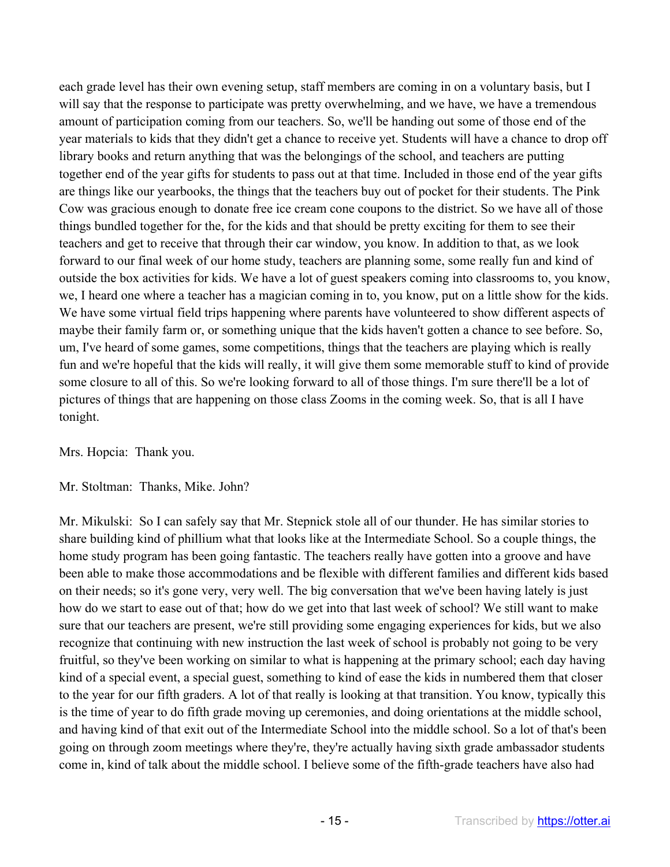each grade level has their own evening setup, staff members are coming in on a voluntary basis, but I will say that the response to participate was pretty overwhelming, and we have, we have a tremendous amount of participation coming from our teachers. So, we'll be handing out some of those end of the year materials to kids that they didn't get a chance to receive yet. Students will have a chance to drop off library books and return anything that was the belongings of the school, and teachers are putting together end of the year gifts for students to pass out at that time. Included in those end of the year gifts are things like our yearbooks, the things that the teachers buy out of pocket for their students. The Pink Cow was gracious enough to donate free ice cream cone coupons to the district. So we have all of those things bundled together for the, for the kids and that should be pretty exciting for them to see their teachers and get to receive that through their car window, you know. In addition to that, as we look forward to our final week of our home study, teachers are planning some, some really fun and kind of outside the box activities for kids. We have a lot of guest speakers coming into classrooms to, you know, we, I heard one where a teacher has a magician coming in to, you know, put on a little show for the kids. We have some virtual field trips happening where parents have volunteered to show different aspects of maybe their family farm or, or something unique that the kids haven't gotten a chance to see before. So, um, I've heard of some games, some competitions, things that the teachers are playing which is really fun and we're hopeful that the kids will really, it will give them some memorable stuff to kind of provide some closure to all of this. So we're looking forward to all of those things. I'm sure there'll be a lot of pictures of things that are happening on those class Zooms in the coming week. So, that is all I have tonight.

Mrs. Hopcia: Thank you.

## Mr. Stoltman: Thanks, Mike. John?

Mr. Mikulski: So I can safely say that Mr. Stepnick stole all of our thunder. He has similar stories to share building kind of phillium what that looks like at the Intermediate School. So a couple things, the home study program has been going fantastic. The teachers really have gotten into a groove and have been able to make those accommodations and be flexible with different families and different kids based on their needs; so it's gone very, very well. The big conversation that we've been having lately is just how do we start to ease out of that; how do we get into that last week of school? We still want to make sure that our teachers are present, we're still providing some engaging experiences for kids, but we also recognize that continuing with new instruction the last week of school is probably not going to be very fruitful, so they've been working on similar to what is happening at the primary school; each day having kind of a special event, a special guest, something to kind of ease the kids in numbered them that closer to the year for our fifth graders. A lot of that really is looking at that transition. You know, typically this is the time of year to do fifth grade moving up ceremonies, and doing orientations at the middle school, and having kind of that exit out of the Intermediate School into the middle school. So a lot of that's been going on through zoom meetings where they're, they're actually having sixth grade ambassador students come in, kind of talk about the middle school. I believe some of the fifth-grade teachers have also had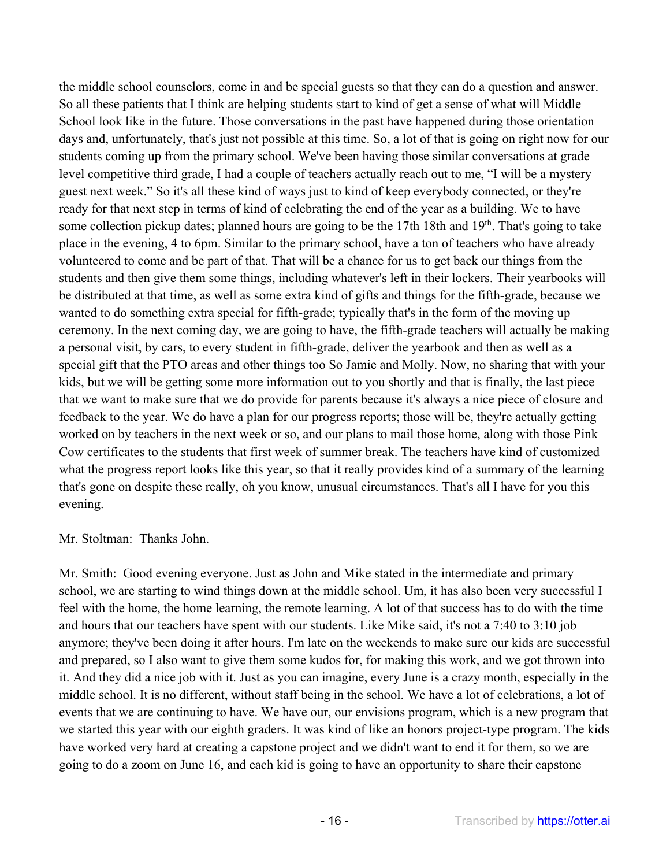the middle school counselors, come in and be special guests so that they can do a question and answer. So all these patients that I think are helping students start to kind of get a sense of what will Middle School look like in the future. Those conversations in the past have happened during those orientation days and, unfortunately, that's just not possible at this time. So, a lot of that is going on right now for our students coming up from the primary school. We've been having those similar conversations at grade level competitive third grade, I had a couple of teachers actually reach out to me, "I will be a mystery guest next week." So it's all these kind of ways just to kind of keep everybody connected, or they're ready for that next step in terms of kind of celebrating the end of the year as a building. We to have some collection pickup dates; planned hours are going to be the 17th 18th and 19<sup>th</sup>. That's going to take place in the evening, 4 to 6pm. Similar to the primary school, have a ton of teachers who have already volunteered to come and be part of that. That will be a chance for us to get back our things from the students and then give them some things, including whatever's left in their lockers. Their yearbooks will be distributed at that time, as well as some extra kind of gifts and things for the fifth-grade, because we wanted to do something extra special for fifth-grade; typically that's in the form of the moving up ceremony. In the next coming day, we are going to have, the fifth-grade teachers will actually be making a personal visit, by cars, to every student in fifth-grade, deliver the yearbook and then as well as a special gift that the PTO areas and other things too So Jamie and Molly. Now, no sharing that with your kids, but we will be getting some more information out to you shortly and that is finally, the last piece that we want to make sure that we do provide for parents because it's always a nice piece of closure and feedback to the year. We do have a plan for our progress reports; those will be, they're actually getting worked on by teachers in the next week or so, and our plans to mail those home, along with those Pink Cow certificates to the students that first week of summer break. The teachers have kind of customized what the progress report looks like this year, so that it really provides kind of a summary of the learning that's gone on despite these really, oh you know, unusual circumstances. That's all I have for you this evening.

## Mr. Stoltman: Thanks John.

Mr. Smith: Good evening everyone. Just as John and Mike stated in the intermediate and primary school, we are starting to wind things down at the middle school. Um, it has also been very successful I feel with the home, the home learning, the remote learning. A lot of that success has to do with the time and hours that our teachers have spent with our students. Like Mike said, it's not a 7:40 to 3:10 job anymore; they've been doing it after hours. I'm late on the weekends to make sure our kids are successful and prepared, so I also want to give them some kudos for, for making this work, and we got thrown into it. And they did a nice job with it. Just as you can imagine, every June is a crazy month, especially in the middle school. It is no different, without staff being in the school. We have a lot of celebrations, a lot of events that we are continuing to have. We have our, our envisions program, which is a new program that we started this year with our eighth graders. It was kind of like an honors project-type program. The kids have worked very hard at creating a capstone project and we didn't want to end it for them, so we are going to do a zoom on June 16, and each kid is going to have an opportunity to share their capstone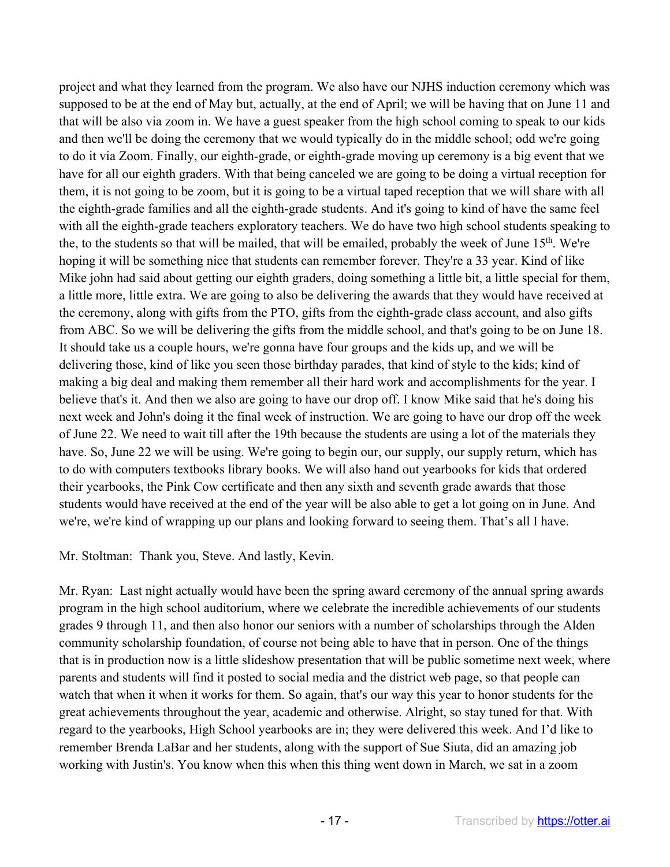project and what they learned from the program. We also have our NJHS induction ceremony which was supposed to be at the end of May but, actually, at the end of April; we will be having that on June 11 and that will be also via zoom in. We have a guest speaker from the high school coming to speak to our kids and then we'll be doing the ceremony that we would typically do in the middle school; odd we're going to do it via Zoom. Finally, our eighth-grade, or eighth-grade moving up ceremony is a big event that we have for all our eighth graders. With that being canceled we are going to be doing a virtual reception for them, it is not going to be zoom, but it is going to be a virtual taped reception that we will share with all the eighth-grade families and all the eighth-grade students. And it's going to kind of have the same feel with all the eighth-grade teachers exploratory teachers. We do have two high school students speaking to the, to the students so that will be mailed, that will be emailed, probably the week of June 15<sup>th</sup>. We're hoping it will be something nice that students can remember forever. They're a 33 year. Kind of like Mike john had said about getting our eighth graders, doing something a little bit, a little special for them, a little more, little extra. We are going to also be delivering the awards that they would have received at the ceremony, along with gifts from the PTO, gifts from the eighth-grade class account, and also gifts from ABC. So we will be delivering the gifts from the middle school, and that's going to be on June 18. It should take us a couple hours, we're gonna have four groups and the kids up, and we will be delivering those, kind of like you seen those birthday parades, that kind of style to the kids; kind of making a big deal and making them remember all their hard work and accomplishments for the year. I believe that's it. And then we also are going to have our drop off. I know Mike said that he's doing his next week and John's doing it the final week of instruction. We are going to have our drop off the week of June 22. We need to wait till after the 19th because the students are using a lot of the materials they have. So, June 22 we will be using. We're going to begin our, our supply, our supply return, which has to do with computers textbooks library books. We will also hand out yearbooks for kids that ordered their yearbooks, the Pink Cow certificate and then any sixth and seventh grade awards that those students would have received at the end of the year will be also able to get a lot going on in June. And we're, we're kind of wrapping up our plans and looking forward to seeing them. That's all I have.

Mr. Stoltman: Thank you, Steve. And lastly, Kevin.

Mr. Ryan: Last night actually would have been the spring award ceremony of the annual spring awards program in the high school auditorium, where we celebrate the incredible achievements of our students grades 9 through 11, and then also honor our seniors with a number of scholarships through the Alden community scholarship foundation, of course not being able to have that in person. One of the things that is in production now is a little slideshow presentation that will be public sometime next week, where parents and students will find it posted to social media and the district web page, so that people can watch that when it when it works for them. So again, that's our way this year to honor students for the great achievements throughout the year, academic and otherwise. Alright, so stay tuned for that. With regard to the yearbooks, High School yearbooks are in; they were delivered this week. And I'd like to remember Brenda LaBar and her students, along with the support of Sue Siuta, did an amazing job working with Justin's. You know when this when this thing went down in March, we sat in a zoom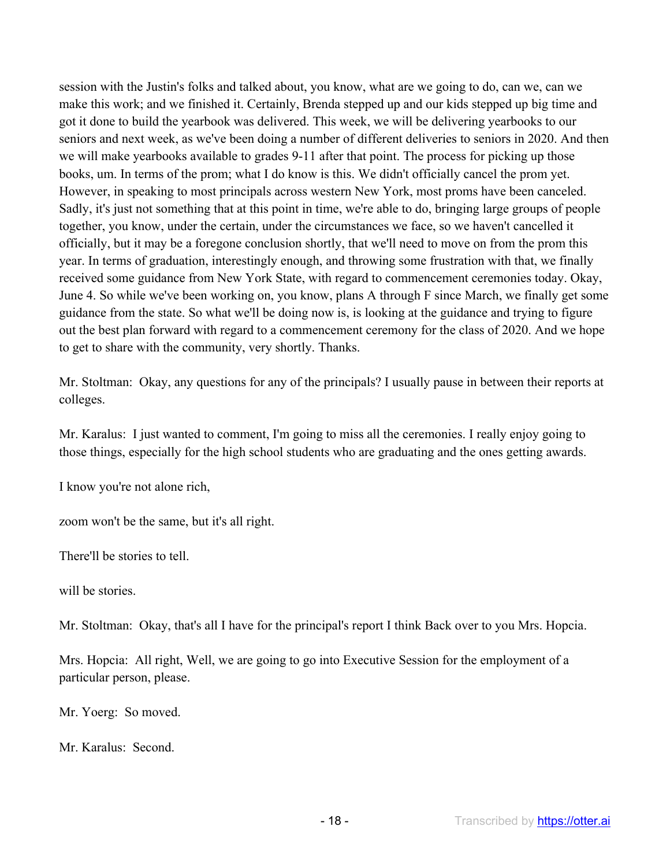session with the Justin's folks and talked about, you know, what are we going to do, can we, can we make this work; and we finished it. Certainly, Brenda stepped up and our kids stepped up big time and got it done to build the yearbook was delivered. This week, we will be delivering yearbooks to our seniors and next week, as we've been doing a number of different deliveries to seniors in 2020. And then we will make yearbooks available to grades 9-11 after that point. The process for picking up those books, um. In terms of the prom; what I do know is this. We didn't officially cancel the prom yet. However, in speaking to most principals across western New York, most proms have been canceled. Sadly, it's just not something that at this point in time, we're able to do, bringing large groups of people together, you know, under the certain, under the circumstances we face, so we haven't cancelled it officially, but it may be a foregone conclusion shortly, that we'll need to move on from the prom this year. In terms of graduation, interestingly enough, and throwing some frustration with that, we finally received some guidance from New York State, with regard to commencement ceremonies today. Okay, June 4. So while we've been working on, you know, plans A through F since March, we finally get some guidance from the state. So what we'll be doing now is, is looking at the guidance and trying to figure out the best plan forward with regard to a commencement ceremony for the class of 2020. And we hope to get to share with the community, very shortly. Thanks.

Mr. Stoltman: Okay, any questions for any of the principals? I usually pause in between their reports at colleges.

Mr. Karalus: I just wanted to comment, I'm going to miss all the ceremonies. I really enjoy going to those things, especially for the high school students who are graduating and the ones getting awards.

I know you're not alone rich,

zoom won't be the same, but it's all right.

There'll be stories to tell.

will be stories.

Mr. Stoltman: Okay, that's all I have for the principal's report I think Back over to you Mrs. Hopcia.

Mrs. Hopcia: All right, Well, we are going to go into Executive Session for the employment of a particular person, please.

Mr. Yoerg: So moved.

Mr. Karalus: Second.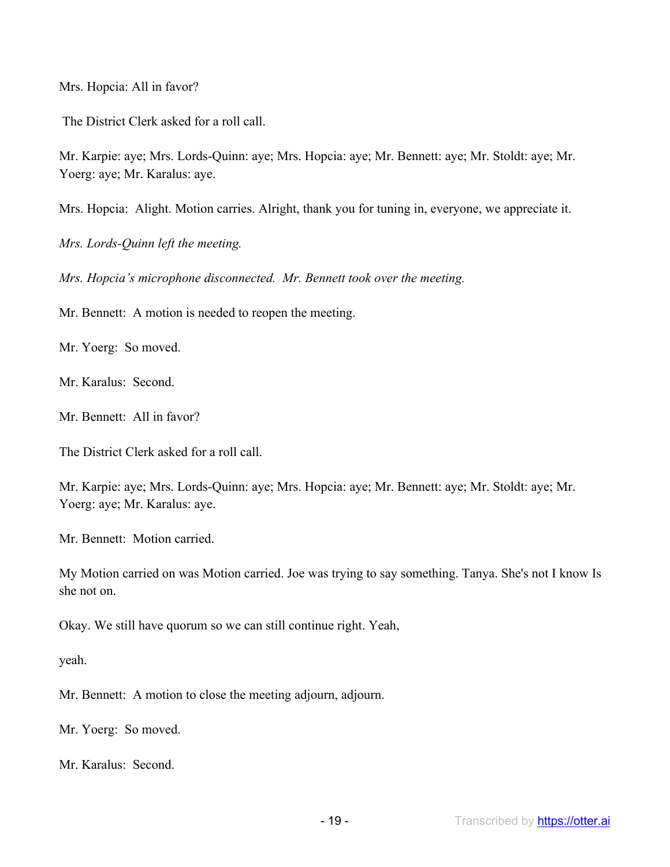Mrs. Hopcia: All in favor?

The District Clerk asked for a roll call.

Mr. Karpie: aye; Mrs. Lords-Quinn: aye; Mrs. Hopcia: aye; Mr. Bennett: aye; Mr. Stoldt: aye; Mr. Yoerg: aye; Mr. Karalus: aye.

Mrs. Hopcia: Alight. Motion carries. Alright, thank you for tuning in, everyone, we appreciate it.

*Mrs. Lords-Quinn left the meeting.*

*Mrs. Hopcia's microphone disconnected. Mr. Bennett took over the meeting.*

Mr. Bennett: A motion is needed to reopen the meeting.

Mr. Yoerg: So moved.

Mr. Karalus: Second.

Mr. Bennett: All in favor?

The District Clerk asked for a roll call.

Mr. Karpie: aye; Mrs. Lords-Quinn: aye; Mrs. Hopcia: aye; Mr. Bennett: aye; Mr. Stoldt: aye; Mr. Yoerg: aye; Mr. Karalus: aye.

Mr. Bennett: Motion carried.

My Motion carried on was Motion carried. Joe was trying to say something. Tanya. She's not I know Is she not on.

Okay. We still have quorum so we can still continue right. Yeah,

yeah.

Mr. Bennett: A motion to close the meeting adjourn, adjourn.

Mr. Yoerg: So moved.

Mr. Karalus: Second.